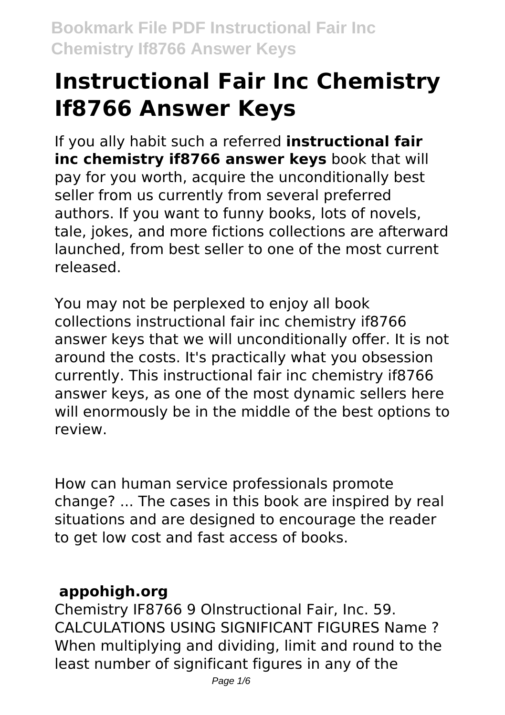# **Instructional Fair Inc Chemistry If8766 Answer Keys**

If you ally habit such a referred **instructional fair inc chemistry if8766 answer keys** book that will pay for you worth, acquire the unconditionally best seller from us currently from several preferred authors. If you want to funny books, lots of novels, tale, jokes, and more fictions collections are afterward launched, from best seller to one of the most current released.

You may not be perplexed to enjoy all book collections instructional fair inc chemistry if8766 answer keys that we will unconditionally offer. It is not around the costs. It's practically what you obsession currently. This instructional fair inc chemistry if8766 answer keys, as one of the most dynamic sellers here will enormously be in the middle of the best options to review.

How can human service professionals promote change? ... The cases in this book are inspired by real situations and are designed to encourage the reader to get low cost and fast access of books.

## **appohigh.org**

Chemistry IF8766 9 Olnstructional Fair, Inc. 59. CALCULATIONS USING SIGNIFICANT FIGURES Name ? When multiplying and dividing, limit and round to the least number of significant figures in any of the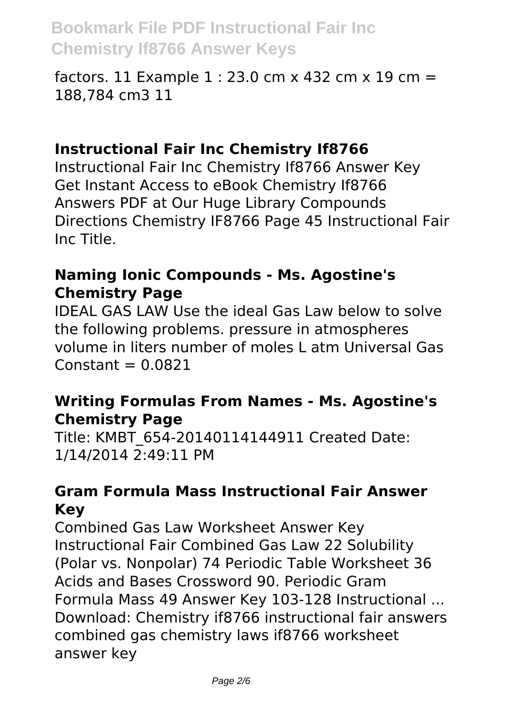factors. 11 Example  $1:23.0$  cm x 432 cm x 19 cm = 188,784 cm3 11

#### **Instructional Fair Inc Chemistry If8766**

Instructional Fair Inc Chemistry If8766 Answer Key Get Instant Access to eBook Chemistry If8766 Answers PDF at Our Huge Library Compounds Directions Chemistry IF8766 Page 45 Instructional Fair Inc Title.

## **Naming Ionic Compounds - Ms. Agostine's Chemistry Page**

IDEAL GAS LAW Use the ideal Gas Law below to solve the following problems. pressure in atmospheres volume in liters number of moles L atm Universal Gas  $Constant = 0.0821$ 

## **Writing Formulas From Names - Ms. Agostine's Chemistry Page**

Title: KMBT\_654-20140114144911 Created Date: 1/14/2014 2:49:11 PM

#### **Gram Formula Mass Instructional Fair Answer Key**

Combined Gas Law Worksheet Answer Key Instructional Fair Combined Gas Law 22 Solubility (Polar vs. Nonpolar) 74 Periodic Table Worksheet 36 Acids and Bases Crossword 90. Periodic Gram Formula Mass 49 Answer Key 103-128 Instructional ... Download: Chemistry if8766 instructional fair answers combined gas chemistry laws if8766 worksheet answer key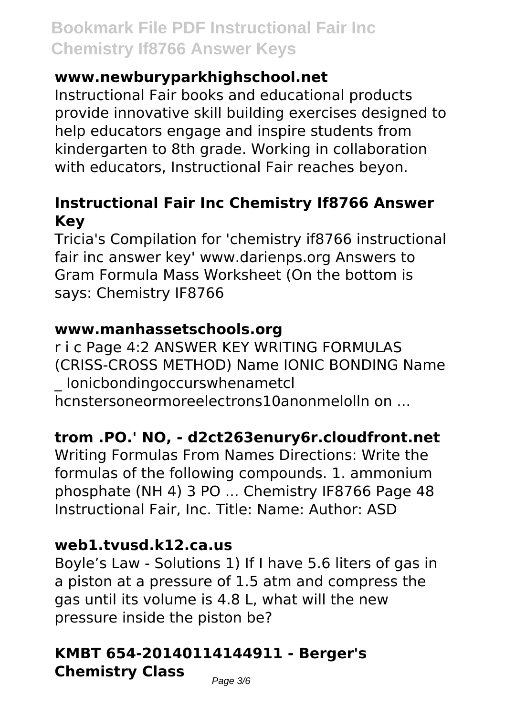## **www.newburyparkhighschool.net**

Instructional Fair books and educational products provide innovative skill building exercises designed to help educators engage and inspire students from kindergarten to 8th grade. Working in collaboration with educators, Instructional Fair reaches beyon.

## **Instructional Fair Inc Chemistry If8766 Answer Key**

Tricia's Compilation for 'chemistry if8766 instructional fair inc answer key' www.darienps.org Answers to Gram Formula Mass Worksheet (On the bottom is says: Chemistry IF8766

## **www.manhassetschools.org**

r i c Page 4:2 ANSWER KEY WRITING FORMULAS (CRISS-CROSS METHOD) Name IONIC BONDING Name \_ Ionicbondingoccurswhenametcl hcnstersoneormoreelectrons10anonmelolln on ...

## **trom .PO.' NO, - d2ct263enury6r.cloudfront.net**

Writing Formulas From Names Directions: Write the formulas of the following compounds. 1. ammonium phosphate (NH 4) 3 PO ... Chemistry IF8766 Page 48 Instructional Fair, Inc. Title: Name: Author: ASD

## **web1.tvusd.k12.ca.us**

Boyle's Law - Solutions 1) If I have 5.6 liters of gas in a piston at a pressure of 1.5 atm and compress the gas until its volume is 4.8 L, what will the new pressure inside the piston be?

## **KMBT 654-20140114144911 - Berger's Chemistry Class**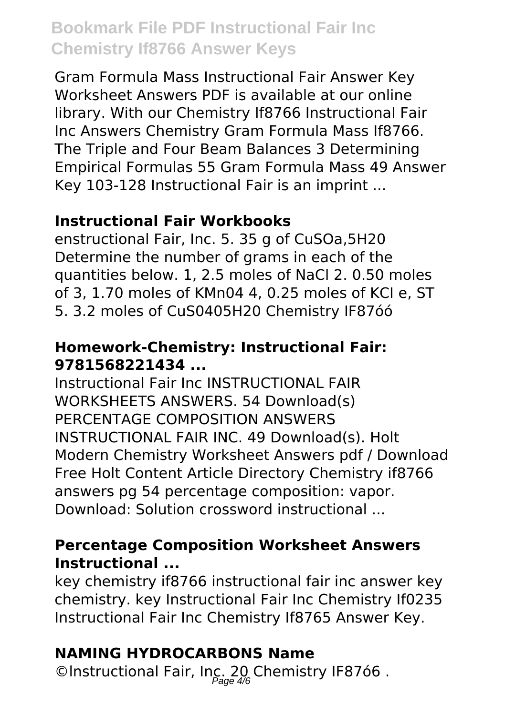Gram Formula Mass Instructional Fair Answer Key Worksheet Answers PDF is available at our online library. With our Chemistry If8766 Instructional Fair Inc Answers Chemistry Gram Formula Mass If8766. The Triple and Four Beam Balances 3 Determining Empirical Formulas 55 Gram Formula Mass 49 Answer Key 103-128 Instructional Fair is an imprint ...

## **Instructional Fair Workbooks**

enstructional Fair, Inc. 5. 35 g of CuSOa,5H20 Determine the number of grams in each of the quantities below. 1, 2.5 moles of NaCl 2. 0.50 moles of 3, 1.70 moles of KMn04 4, 0.25 moles of KCI e, ST 5. 3.2 moles of CuS0405H20 Chemistry IF87óó

## **Homework-Chemistry: Instructional Fair: 9781568221434 ...**

Instructional Fair Inc INSTRUCTIONAL FAIR WORKSHEETS ANSWERS. 54 Download(s) PERCENTAGE COMPOSITION ANSWERS INSTRUCTIONAL FAIR INC. 49 Download(s). Holt Modern Chemistry Worksheet Answers pdf / Download Free Holt Content Article Directory Chemistry if8766 answers pg 54 percentage composition: vapor. Download: Solution crossword instructional ...

## **Percentage Composition Worksheet Answers Instructional ...**

key chemistry if8766 instructional fair inc answer key chemistry. key Instructional Fair Inc Chemistry If0235 Instructional Fair Inc Chemistry If8765 Answer Key.

# **NAMING HYDROCARBONS Name**

©Instructional Fair, Inc. 20 Chemistry IF87ó6.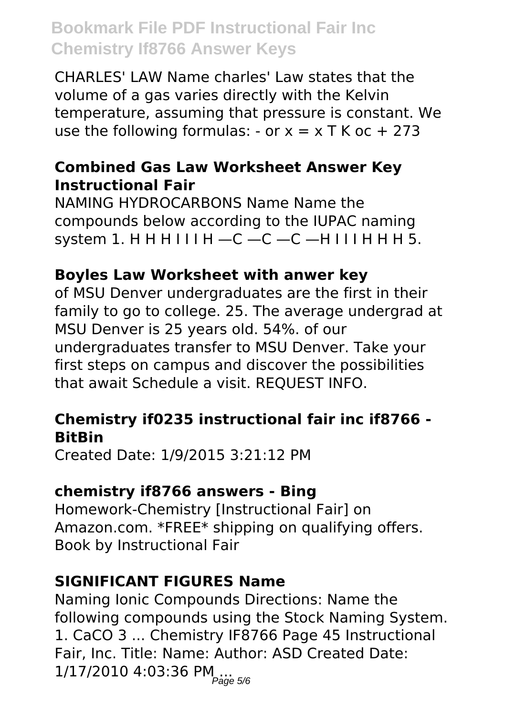CHARLES' LAW Name charles' Law states that the volume of a gas varies directly with the Kelvin temperature, assuming that pressure is constant. We use the following formulas: - or  $x = x$  T K oc + 273

## **Combined Gas Law Worksheet Answer Key Instructional Fair**

NAMING HYDROCARBONS Name Name the compounds below according to the IUPAC naming system 1. H H H I I I H  $-C$  -C -C -H I I I H H H 5.

#### **Boyles Law Worksheet with anwer key**

of MSU Denver undergraduates are the first in their family to go to college. 25. The average undergrad at MSU Denver is 25 years old. 54%. of our undergraduates transfer to MSU Denver. Take your first steps on campus and discover the possibilities that await Schedule a visit. REQUEST INFO.

## **Chemistry if0235 instructional fair inc if8766 - BitBin**

Created Date: 1/9/2015 3:21:12 PM

#### **chemistry if8766 answers - Bing**

Homework-Chemistry [Instructional Fair] on Amazon.com. \*FREE\* shipping on qualifying offers. Book by Instructional Fair

## **SIGNIFICANT FIGURES Name**

Naming Ionic Compounds Directions: Name the following compounds using the Stock Naming System. 1. CaCO 3 ... Chemistry IF8766 Page 45 Instructional Fair, Inc. Title: Name: Author: ASD Created Date: 1/17/2010 4:03:36 PM....<br><sub>Page 5/6</sub>